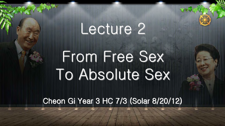## Lecture 2

## From Free Sex To Absolute Sex

Cheon Gi Year 3 HC 7/3 (Solar 8/20/12)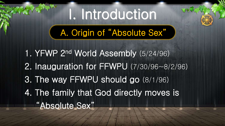# I. Introduction

A. Origin of "Absolute Sex"

1. YFWP 2nd World Assembly (5/24/96) 2. Inauguration for FFWPU (7/30/96~8/2/96) 3. The way FFWPU should go (8/1/96) 4. The family that God directly moves is "Absolute Sex"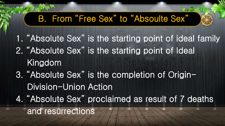### B. From "Free Sex" to "Absoulte Sex"

- 1. "Absolute Sex" is the starting point of ideal family
- 2. "Absolute Sex" is the starting point of Ideal Kingdom
- 3. "Absolute Sex" is the completion of Origin- Division-Union Action 4. "Absolute Sex" proclaimed as result of 7 deaths

and resurrections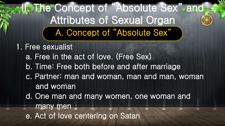### II. The Concept of "Absolute Sex" and Attributes of Sexual Organ A. Concept of "Absolute Sex"

1. Free sexualist a. Free in the act of love. (Free Sex) b. Time: Free both before and after marriage c. Partner: man and woman, man and man, woman and woman d. One man and many women, one woman and many men e. Act of love centering on Satan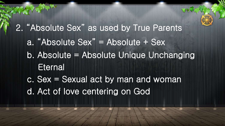2. "Absolute Sex" as used by True Parents a. "Absolute Sex" = Absolute + Sex b. Absolute = Absolute Unique Unchanging **Eternal**  c. Sex = Sexual act by man and woman d. Act of love centering on God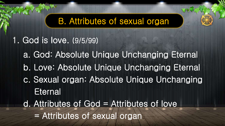### B. Attributes of sexual organ

1. God is love. (9/5/99)

- a. God: Absolute Unique Unchanging Eternal
- b. Love: Absolute Unique Unchanging Eternal
- c. Sexual organ: Absolute Unique Unchanging **Eternal**
- d. Attributes of God = Attributes of love = Attributes of sexual organ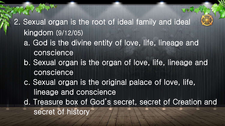2. Sexual organ is the root of ideal family and ideal kingdom (9/12/05) a. God is the divine entity of love, life, lineage and conscience b. Sexual organ is the organ of love, life, lineage and conscience c. Sexual organ is the original palace of love, life, lineage and conscience d. Treasure box of God's secret, secret of Creation and secret of history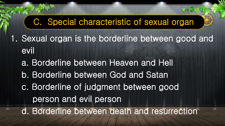C. Special characteristic of sexual organ 1. Sexual organ is the borderline between good and evil a. Borderline between Heaven and Hell b. Borderline between God and Satan c. Borderline of judgment between good person and evil person d. Borderline between death and resurrection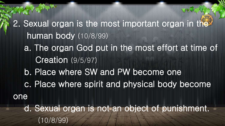2. Sexual organ is the most important organ in the human body (10/8/99) a. The organ God put in the most effort at time of Creation (9/5/97) b. Place where SW and PW become one c. Place where spirit and physical body become one d. Sexual organ is not an object of punishment. (10/8/99)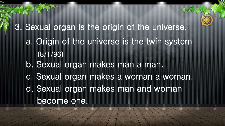3. Sexual organ is the origin of the universe. a. Origin of the universe is the twin system (8/1/96) b. Sexual organ makes man a man. c. Sexual organ makes a woman a woman. d. Sexual organ makes man and woman become one.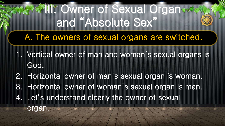**III. Owner of Sexual Organ:** and "Absolute Sex" A. The owners of sexual organs are switched.

- 1. Vertical owner of man and woman's sexual organs is God.
- 2. Horizontal owner of man's sexual organ is woman.
- 3. Horizontal owner of woman's sexual organ is man.
- 4. Let's understand clearly the owner of sexual

organ.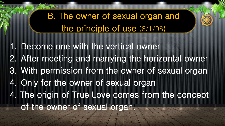### B. The owner of sexual organ and the principle of use (8/1/96)

1. Become one with the vertical owner 2. After meeting and marrying the horizontal owner 3. With permission from the owner of sexual organ 4. Only for the owner of sexual organ 4. The origin of True Love comes from the concept of the owner of sexual organ.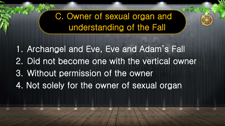### C. Owner of sexual organ and understanding of the Fall

1. Archangel and Eve, Eve and Adam's Fall 2. Did not become one with the vertical owner 3. Without permission of the owner 4. Not solely for the owner of sexual organ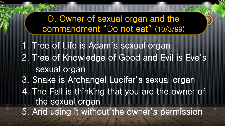D. Owner of sexual organ and the commandment "Do not eat" (10/3/99) 1. Tree of Life is Adam's sexual organ 2. Tree of Knowledge of Good and Evil is Eve's sexual organ 3. Snake is Archangel Lucifer's sexual organ 4. The Fall is thinking that you are the owner of the sexual organ 5. And using it without the owner's permission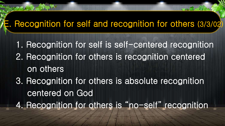### E. Recognition for self and recognition for others (3/3/02)

- 1. Recognition for self is self-centered recognition 2. Recognition for others is recognition centered on others 3. Recognition for others is absolute recognition centered on God
- 4. Recognition for others is "no-self" recognition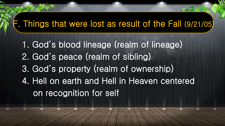### F. Things that were lost as result of the Fall (9/21/05)

1. God's blood lineage (realm of lineage) 2. God's peace (realm of sibling) 3. God's property (realm of ownership) 4. Hell on earth and Hell in Heaven centered on recognition for self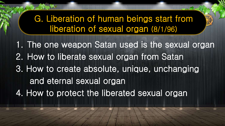### G. Liberation of human beings start from liberation of sexual organ (8/1/96)

1. The one weapon Satan used is the sexual organ 2. How to liberate sexual organ from Satan 3. How to create absolute, unique, unchanging and eternal sexual organ 4. How to protect the liberated sexual organ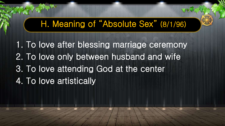### H. Meaning of "Absolute Sex" (8/1/96)

1. To love after blessing marriage ceremony 2. To love only between husband and wife 3. To love attending God at the center 4. To love artistically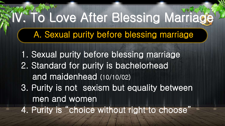### A. Sexual purity before blessing marriage

# **To Love After Blessing Marriage**

- 1. Sexual purity before blessing marriage
- 2. Standard for purity is bachelorhead and maidenhead (10/10/02)
- 3. Purity is not sexism but equality between men and women

4. Purity is "choice without right to choose"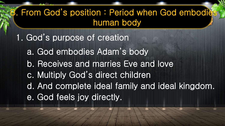### B. From God's position: Period when God embodies human body

- 1. God's purpose of creation
	- a. God embodies Adam's body
	- b. Receives and marries Eve and love
	- c. Multiply God's direct children
	- d. And complete ideal family and ideal kingdom. e. God feels joy directly.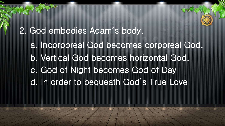2. God embodies Adam's body. a. Incorporeal God becomes corporeal God. b. Vertical God becomes horizontal God. c. God of Night becomes God of Day d. In order to bequeath God's True Love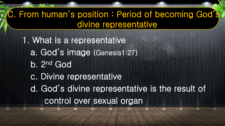### C. From human's position : Period of becoming God's divine representative

1. What is a representative a. God's image (Genesis1:27) b. 2nd God c. Divine representative d. God's divine representative is the result of control over sexual organ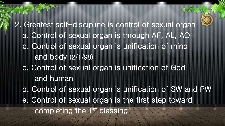2. Greatest self-discipline is control of sexual organ a. Control of sexual organ is through AF, AL, AO b. Control of sexual organ is unification of mind and body (2/1/98) c. Control of sexual organ is unification of God and human d. Control of sexual organ is unification of SW and PW e. Control of sexual organ is the first step toward completing the 1st blessing

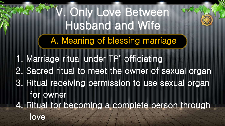V. Only Love Between Husband and Wife A. Meaning of blessing marriage

1. Marriage ritual under TP' officiating 2. Sacred ritual to meet the owner of sexual organ 3. Ritual receiving permission to use sexual organ for owner 4. Ritual for becoming a complete person through love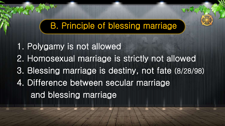### B. Principle of blessing marriage

1. Polygamy is not allowed 2. Homosexual marriage is strictly not allowed 3. Blessing marriage is destiny, not fate (8/28/98) 4. Difference between secular marriage and blessing marriage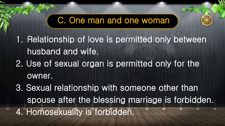### C. One man and one woman

1. Relationship of love is permitted only between husband and wife. 2. Use of sexual organ is permitted only for the owner. 3. Sexual relationship with someone other than spouse after the blessing marriage is forbidden. 4. Homosexuality is forbidden.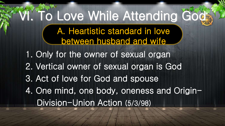# VI. To Love While Attending Gods

A. Heartistic standard in love

between husband and wife 1. Only for the owner of sexual organ 2. Vertical owner of sexual organ is God 3. Act of love for God and spouse 4. One mind, one body, oneness and Origin-

- 
- 

Division-Union Action (5/3/98)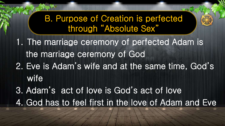B. Purpose of Creation is perfected through "Absolute Sex" 1. The marriage ceremony of perfected Adam is the marriage ceremony of God 2. Eve is Adam's wife and at the same time, God's wife 3. Adam's act of love is God's act of love

4. God has to feel first in the love of Adam and Eve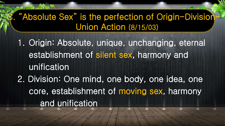### "Absolute Sex" is the perfection of Origin-Division Union Action (8/15/03)

1. Origin: Absolute, unique, unchanging, eternal establishment of silent sex, harmony and unification 2. Division: One mind, one body, one idea, one core, establishment of moving sex, harmony and unification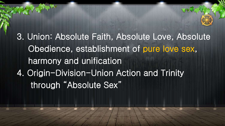3. Union: Absolute Faith, Absolute Love, Absolute Obedience, establishment of pure love sex, harmony and unification 4. Origin-Division-Union Action and Trinity through "Absolute Sex"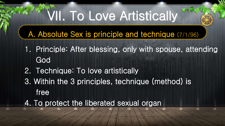## VII. To Love Artistically

### A. Absolute Sex is principle and technique (7/1/96)

- 1. Principle: After blessing, only with spouse, attending God
- 2. Technique: To love artistically
- 3. Within the 3 principles, technique (method) is free
- 4. To protect the liberated sexual organ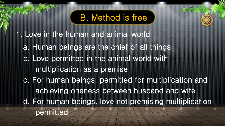### B. Method is free

1. Love in the human and animal world a. Human beings are the chief of all things b. Love permitted in the animal world with multiplication as a premise c. For human beings, permitted for multiplication and achieving oneness between husband and wife d. For human beings, love not premising multiplication permitted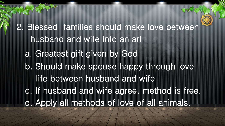2. Blessed families should make love between husband and wife into an art a. Greatest gift given by God b. Should make spouse happy through love life between husband and wife c. If husband and wife agree, method is free. d. Apply all methods of love of all animals.

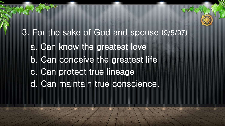3. For the sake of God and spouse (9/5/97) a. Can know the greatest love b. Can conceive the greatest life c. Can protect true lineage d. Can maintain true conscience.

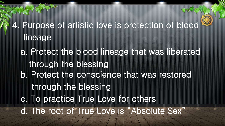4. Purpose of artistic love is protection of blood lineage a. Protect the blood lineage that was liberated through the blessing b. Protect the conscience that was restored through the blessing c. To practice True Love for others d. The root of True Love is "Absolute Sex"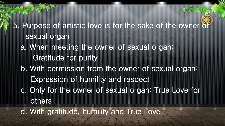5. Purpose of artistic love is for the sake of the owner of sexual organ a. When meeting the owner of sexual organ: Gratitude for purity b. With permission from the owner of sexual organ: Expression of humility and respect c. Only for the owner of sexual organ: True Love for others d. With gratitude, humility and True Love

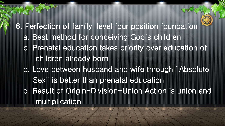6. Perfection of family-level four position foundation a. Best method for conceiving God's children b. Prenatal education takes priority over education of children already born c. Love between husband and wife through "Absolute Sex" is better than prenatal education d. Result of Origin-Division-Union Action is union and multiplication

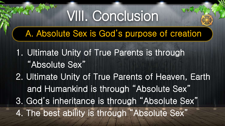VIII. Conclusion

### A. Absolute Sex is God's purpose of creation

1. Ultimate Unity of True Parents is through "Absolute Sex" 2. Ultimate Unity of True Parents of Heaven, Earth and Humankind is through "Absolute Sex" 3. God's inheritance is through "Absolute Sex" 4. The best ability is through "Absolute Sex"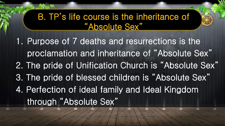### B. TP's life course is the inheritance of "Absolute Sex"

1. Purpose of 7 deaths and resurrections is the proclamation and inheritance of "Absolute Sex" 2. The pride of Unification Church is "Absolute Sex" 3. The pride of blessed children is "Absolute Sex" 4. Perfection of ideal family and Ideal Kingdom through "Absolute Sex"